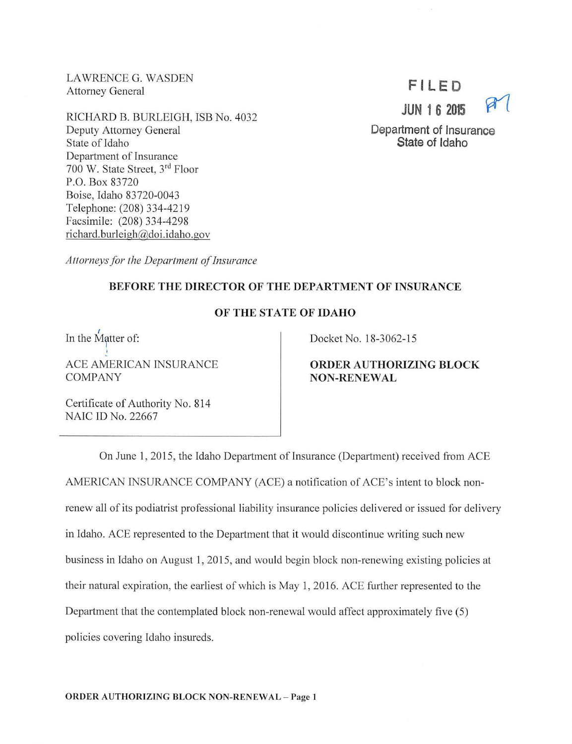LAWRENCE G. WASDEN Attorney General

RICHARD B. BURLEIGH, ISB No. 4032 Deputy Attorney General State of Idaho Department of Insurance 700 W. State Street, 3rd Floor P.O. Box 83720 Boise, Idaho 83720-0043 Telephone: (208) 334-4219 Facsimile: (208) 334-4298 richard.burleigh@doi.idaho.gov



**Department of Insurance State of Idaho** 

Attorneys for the Department of Insurance

## **BEFORE THE DIRECTOR OF THE DEPARTMENT OF INSURANCE**

## **OF THE STATE OF IDAHO**

In the Matter of: ACE AMERICAN INSURANCE

COMPANY

Docket No. 18-3062-15

**ORDER AUTHORIZING BLOCK NON-RENEWAL** 

Certificate of Authority No. 814 NAIC ID No. 22667

On June 1, 2015, the Idaho Department of Insurance (Department) received from ACE AMERICAN INSURANCE COMPANY (ACE) a notification of ACE's intent to block nonrenew all of its podiatrist professional liability insurance policies delivered or issued for delivery in Idaho. ACE represented to the Department that it would discontinue writing such new business in Idaho on August **1,** 2015, and would begin block non-renewing existing policies at their natural expiration, the earliest of which is May 1, 2016. ACE further represented to the Department that the contemplated block non-renewal would affect approximately five  $(5)$ policies covering Idaho insureds.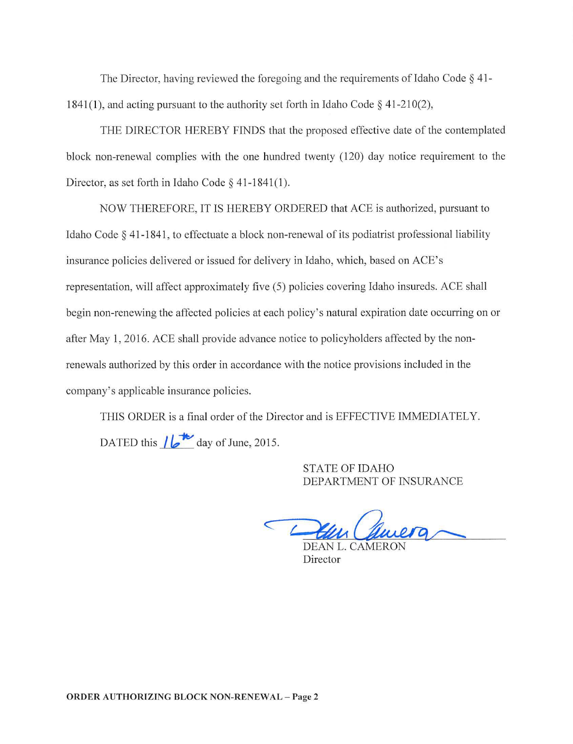The Director, having reviewed the foregoing and the requirements of Idaho Code  $\S$  41-1841(1), and acting pursuant to the authority set forth in Idaho Code  $\S$  41-210(2),

THE DIRECTOR HEREBY FINDS that the proposed effective date of the contemplated block non-renewal complies with the one hundred twenty (120) day notice requirement to the Director, as set forth in Idaho Code § 41-1841(1).

NOW THEREFORE, IT IS HEREBY ORDERED that ACE is authorized, pursuant to Idaho Code § 41-1841 , to effectuate a block non-renewal of its podiatrist professional liability insurance policies delivered or issued for delivery in Idaho, which, based on ACE's representation, will affect approximately five (5) policies covering Idaho insureds. ACE shall begin non-renewing the affected policies at each policy's natural expiration date occurring on or after May 1, 2016. ACE shall provide advance notice to policyholders affected by the nonrenewals authorized by this order in accordance with the notice provisions included in the company's applicable insurance policies.

THIS ORDER is a final order of the Director and is EFFECTIVE IMMEDIATELY. DATED this  $\sqrt{\frac{1}{2}}$  day of June, 2015.

> STATE OF IDAHO DEPARTMENT OF INSURANCE

c

**Director**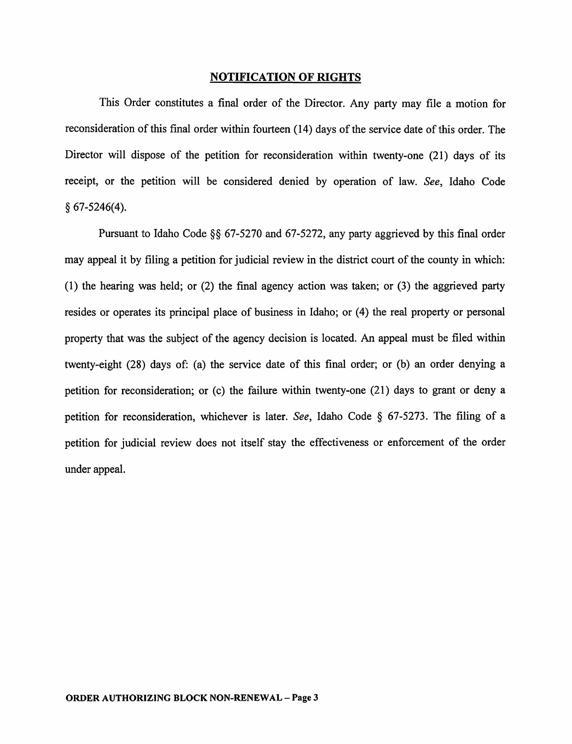## NOTIFICATION OF RIGHTS

This Order constitutes a final order of the Director. Any party may file a motion for reconsideration of this final order within fourteen (14) days of the service date of this order. The Director will dispose of the petition for reconsideration within twenty-one (21) days of its receipt, or the petition will be considered denied by operation of law. *See,* Idaho Code  $§ 67-5246(4).$ 

Pursuant to Idaho Code §§ 67-5270 and 67-5272, any party aggrieved by this final order may appeal it by filing a petition for judicial review in the district court of the county in which: (1) the hearing was held; or (2) the final agency action was taken; or (3) the aggrieved party resides or operates its principal place of business in Idaho; or (4) the real property or personal property that was the subject of the agency decision is located. An appeal must be filed within twenty-eight (28) days of: (a) the service date of this final order; or (b) an order denying a petition for reconsideration; or  $(c)$  the failure within twenty-one  $(21)$  days to grant or deny a petition for reconsideration, whichever is later. *See,* Idaho Code § 67-5273. The filing of a petition for judicial review does not itself stay the effectiveness or enforcement of the order under appeal.